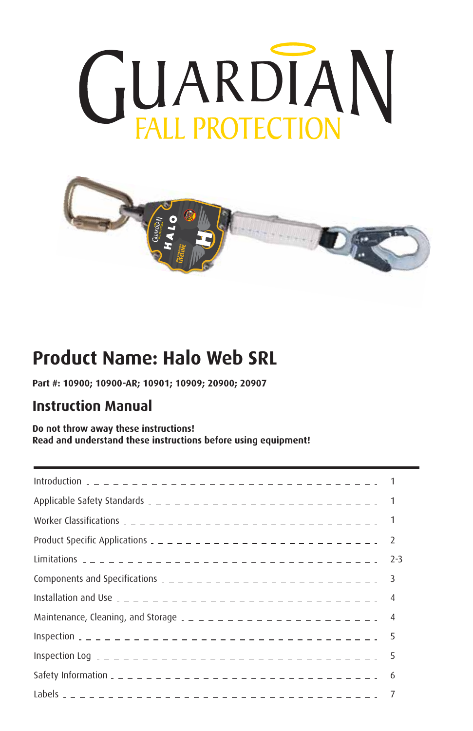



# **Product Name: Halo Web SRL**

**Part #: 10900; 10900-AR; 10901; 10909; 20900; 20907**

#### **Instruction Manual**

**Do not throw away these instructions! Read and understand these instructions before using equipment!**

| Product Specific Applications $2 - 2 - 2 - 2 - 2 - 2 - 2 - 2 - 2 - 2 - 2 - 2$ | <sup>2</sup> |
|-------------------------------------------------------------------------------|--------------|
|                                                                               | $2 - 3$      |
| Components and Specifications $2 - 2 - 2 - 2 - 2 - 2 - 2 - 2 - 2 - 3$         |              |
|                                                                               |              |
|                                                                               |              |
|                                                                               |              |
|                                                                               | 5            |
|                                                                               | - 6          |
|                                                                               |              |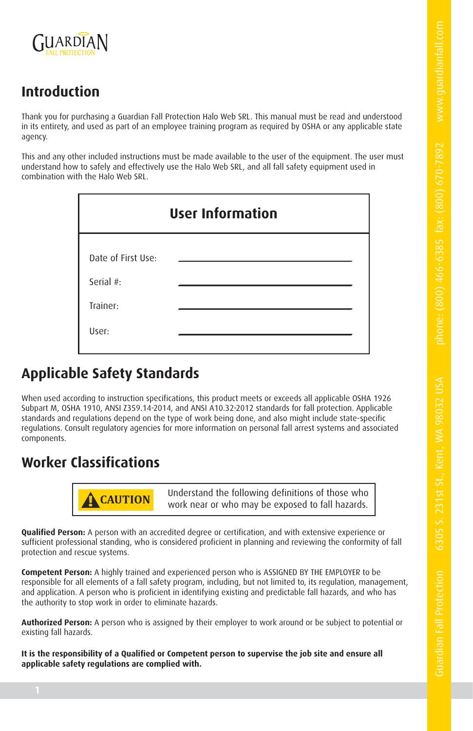Guardian Fall Protection 6305 S. 231st St., Kent, W



# **Introduction**

Thank you for purchasing a Guardian Fall Protection Halo Web SRL. This manual must be read and understood in its entirety, and used as part of an employee training program as required by OSHA or any applicable state agency.

This and any other included instructions must be made available to the user of the equipment. The user must understand how to safely and effectively use the Halo Web SRL, and all fall safety equipment used in combination with the Halo Web SRL.

| <b>User Information</b> |  |  |  |  |  |  |
|-------------------------|--|--|--|--|--|--|
| Date of First Use:      |  |  |  |  |  |  |
| Serial #:<br>Trainer:   |  |  |  |  |  |  |
| User:                   |  |  |  |  |  |  |

# **Applicable Safety Standards**

When used according to instruction specifications, this product meets or exceeds all applicable OSHA 1926 Subpart M, OSHA 1910, ANSI Z359.14-2014, and ANSI A10.32-2012 standards for fall protection. Applicable standards and regulations depend on the type of work being done, and also might include state-specific regulations. Consult regulatory agencies for more information on personal fall arrest systems and associated components.

#### **Worker Classifications**



**! CAUTION** Understand the following definitions of those who work near or who may be exposed to fall hazards.

**Qualified Person:** A person with an accredited degree or certification, and with extensive experience or sufficient professional standing, who is considered proficient in planning and reviewing the conformity of fall protection and rescue systems.

**Competent Person:** A highly trained and experienced person who is ASSIGNED BY THE EMPLOYER to be responsible for all elements of a fall safety program, including, but not limited to, its regulation, management, and application. A person who is proficient in identifying existing and predictable fall hazards, and who has the authority to stop work in order to eliminate hazards.

**Authorized Person:** A person who is assigned by their employer to work around or be subject to potential or existing fall hazards.

**It is the responsibility of a Qualified or Competent person to supervise the job site and ensure all applicable safety regulations are complied with.**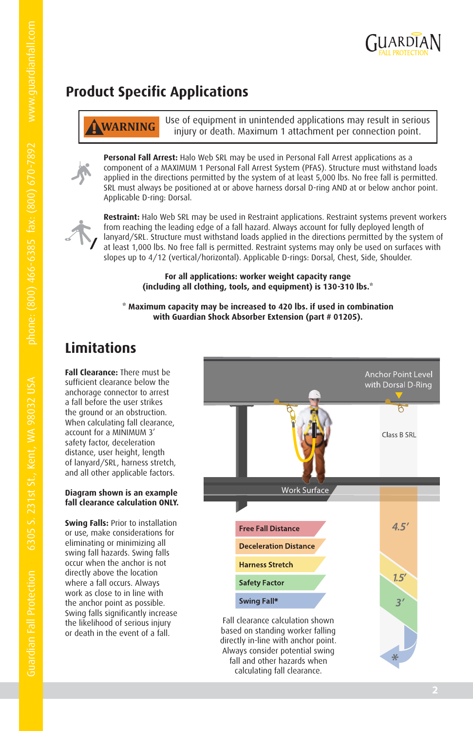

# **Product Specific Applications**

**! WARNING** Use of equipment in unintended applications may result in serious injury or death. Maximum 1 attachment per connection point.

**Personal Fall Arrest:** Halo Web SRL may be used in Personal Fall Arrest applications as a component of a MAXIMUM 1 Personal Fall Arrest System (PFAS). Structure must withstand loads applied in the directions permitted by the system of at least 5,000 lbs. No free fall is permitted. SRL must always be positioned at or above harness dorsal D-ring AND at or below anchor point. Applicable D-ring: Dorsal.



**Restraint:** Halo Web SRL may be used in Restraint applications. Restraint systems prevent workers from reaching the leading edge of a fall hazard. Always account for fully deployed length of lanyard/SRL. Structure must withstand loads applied in the directions permitted by the system of at least 1,000 lbs. No free fall is permitted. Restraint systems may only be used on surfaces with slopes up to 4/12 (vertical/horizontal). Applicable D-rings: Dorsal, Chest, Side, Shoulder.

> **For all applications: worker weight capacity range (including all clothing, tools, and equipment) is 130-310 lbs.\***

**\* Maximum capacity may be increased to 420 lbs. if used in combination with Guardian Shock Absorber Extension (part # 01205).**

#### **Limitations**

**Fall Clearance:** There must be sufficient clearance below the anchorage connector to arrest a fall before the user strikes the ground or an obstruction. When calculating fall clearance, account for a MINIMUM 3' safety factor, deceleration distance, user height, length of lanyard/SRL, harness stretch, and all other applicable factors.

#### **Diagram shown is an example fall clearance calculation ONLY.**

**Swing Falls:** Prior to installation or use, make considerations for eliminating or minimizing all swing fall hazards. Swing falls occur when the anchor is not directly above the location where a fall occurs. Always work as close to in line with the anchor point as possible. Swing falls significantly increase the likelihood of serious injury or death in the event of a fall.

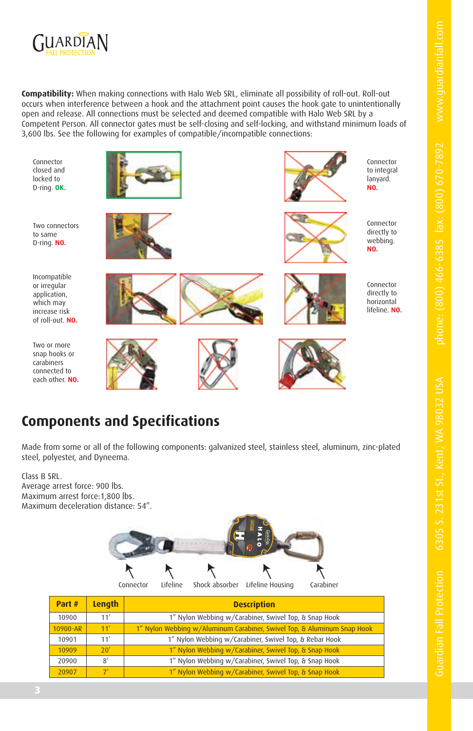

**Compatibility:** When making connections with Halo Web SRL, eliminate all possibility of roll-out. Roll-out occurs when interference between a hook and the attachment point causes the hook gate to unintentionally open and release. All connections must be selected and deemed compatible with Halo Web SRL by a Competent Person. All connector gates must be self-closing and self-locking, and withstand minimum loads of 3,600 lbs. See the following for examples of compatible/incompatible connections:

Connector closed and locked to D-ring. **OK.**

Two connectors to same D-ring. **NO.**

Incompatible or irregular application, which may increase risk of roll-out. **NO.**

Two or more







Connector to integral lanyard. **NO.**



Connector directly to webbing. **NO.**





Connector directly to horizontal lifeline. **NO.**

snap hooks or carabiners connected to each other. **NO.**

## **Components and Specifications**

Made from some or all of the following components: galvanized steel, stainless steel, aluminum, zinc-plated steel, polyester, and Dyneema.

Class B SRL. Average arrest force: 900 lbs. Maximum arrest force:1,800 lbs. Maximum deceleration distance: 54".



| Part #   | Length         | <b>Description</b>                                                      |  |  |  |  |  |  |
|----------|----------------|-------------------------------------------------------------------------|--|--|--|--|--|--|
| 10900    | 11'            | 1" Nylon Webbing w/Carabiner, Swivel Top, & Snap Hook                   |  |  |  |  |  |  |
| 10900-AR | 11'            | 1" Nylon Webbing w/Aluminum Carabiner, Swivel Top, & Aluminum Snap Hook |  |  |  |  |  |  |
| 10901    | 11'            | 1" Nylon Webbing w/Carabiner, Swivel Top, & Rebar Hook                  |  |  |  |  |  |  |
| 10909    | 20'            | 1" Nylon Webbing w/Carabiner, Swivel Top, & Snap Hook                   |  |  |  |  |  |  |
| 20900    | $\mathcal{R}'$ | 1" Nylon Webbing w/Carabiner, Swivel Top, & Snap Hook                   |  |  |  |  |  |  |
| 20907    | $\mathcal{I}'$ | 1" Nylon Webbing w/Carabiner, Swivel Top, & Snap Hook                   |  |  |  |  |  |  |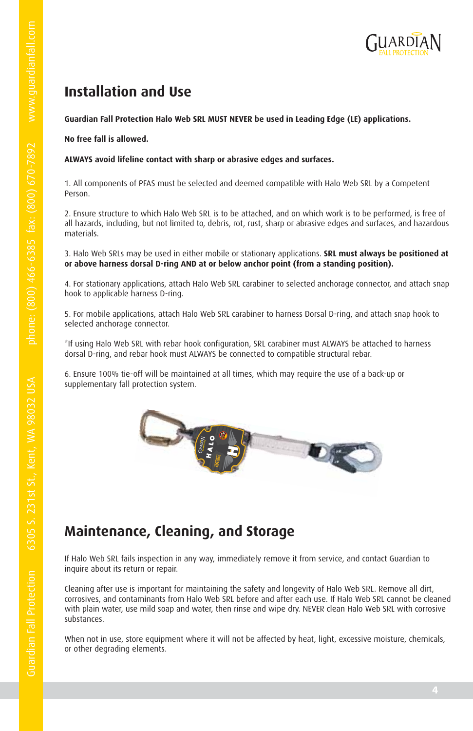

#### **Installation and Use**

**Guardian Fall Protection Halo Web SRL MUST NEVER be used in Leading Edge (LE) applications.**

**No free fall is allowed.**

**ALWAYS avoid lifeline contact with sharp or abrasive edges and surfaces.**

1. All components of PFAS must be selected and deemed compatible with Halo Web SRL by a Competent Person.

2. Ensure structure to which Halo Web SRL is to be attached, and on which work is to be performed, is free of all hazards, including, but not limited to, debris, rot, rust, sharp or abrasive edges and surfaces, and hazardous materials.

3. Halo Web SRLs may be used in either mobile or stationary applications. **SRL must always be positioned at or above harness dorsal D-ring AND at or below anchor point (from a standing position).**

4. For stationary applications, attach Halo Web SRL carabiner to selected anchorage connector, and attach snap hook to applicable harness D-ring.

5. For mobile applications, attach Halo Web SRL carabiner to harness Dorsal D-ring, and attach snap hook to selected anchorage connector.

\*If using Halo Web SRL with rebar hook configuration, SRL carabiner must ALWAYS be attached to harness dorsal D-ring, and rebar hook must ALWAYS be connected to compatible structural rebar.

6. Ensure 100% tie-off will be maintained at all times, which may require the use of a back-up or supplementary fall protection system.



## **Maintenance, Cleaning, and Storage**

If Halo Web SRL fails inspection in any way, immediately remove it from service, and contact Guardian to inquire about its return or repair.

Cleaning after use is important for maintaining the safety and longevity of Halo Web SRL. Remove all dirt, corrosives, and contaminants from Halo Web SRL before and after each use. If Halo Web SRL cannot be cleaned with plain water, use mild soap and water, then rinse and wipe dry. NEVER clean Halo Web SRL with corrosive substances.

When not in use, store equipment where it will not be affected by heat, light, excessive moisture, chemicals, or other degrading elements.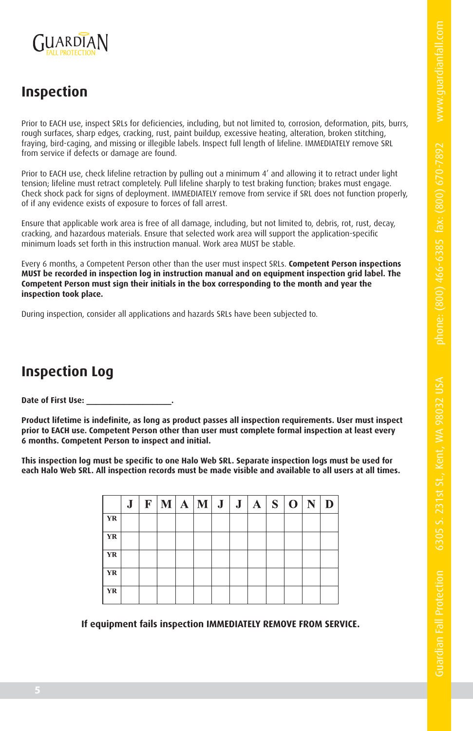Guardian Fall Protection 6305 S. 231st St., Kent, W



#### **Inspection**

Prior to EACH use, inspect SRLs for deficiencies, including, but not limited to, corrosion, deformation, pits, burrs, rough surfaces, sharp edges, cracking, rust, paint buildup, excessive heating, alteration, broken stitching, fraying, bird-caging, and missing or illegible labels. Inspect full length of lifeline. IMMEDIATELY remove SRL from service if defects or damage are found.

Prior to EACH use, check lifeline retraction by pulling out a minimum 4' and allowing it to retract under light tension; lifeline must retract completely. Pull lifeline sharply to test braking function; brakes must engage. Check shock pack for signs of deployment. IMMEDIATELY remove from service if SRL does not function properly, of if any evidence exists of exposure to forces of fall arrest.

Ensure that applicable work area is free of all damage, including, but not limited to, debris, rot, rust, decay, cracking, and hazardous materials. Ensure that selected work area will support the application-specific minimum loads set forth in this instruction manual. Work area MUST be stable.

Every 6 months, a Competent Person other than the user must inspect SRLs. **Competent Person inspections MUST be recorded in inspection log in instruction manual and on equipment inspection grid label. The Competent Person must sign their initials in the box corresponding to the month and year the inspection took place.**

During inspection, consider all applications and hazards SRLs have been subjected to.

#### **Inspection Log**

Date of First Use:

**Product lifetime is indefinite, as long as product passes all inspection requirements. User must inspect prior to EACH use. Competent Person other than user must complete formal inspection at least every 6 months. Competent Person to inspect and initial.**

**This inspection log must be specific to one Halo Web SRL. Separate inspection logs must be used for each Halo Web SRL. All inspection records must be made visible and available to all users at all times.**

|           | J. | $\mathbf{F}$ | $ \mathbf{M} \mathbf{A} $ | $ \mathbf{M} \mathbf{J} \mathbf{J} \mathbf{A} \mathbf{S} \mathbf{O} \mathbf{N}$ |  |  |  |  |
|-----------|----|--------------|---------------------------|---------------------------------------------------------------------------------|--|--|--|--|
| YR        |    |              |                           |                                                                                 |  |  |  |  |
| YR        |    |              |                           |                                                                                 |  |  |  |  |
| <b>YR</b> |    |              |                           |                                                                                 |  |  |  |  |
| YR        |    |              |                           |                                                                                 |  |  |  |  |
| YR.       |    |              |                           |                                                                                 |  |  |  |  |

**If equipment fails inspection IMMEDIATELY REMOVE FROM SERVICE.**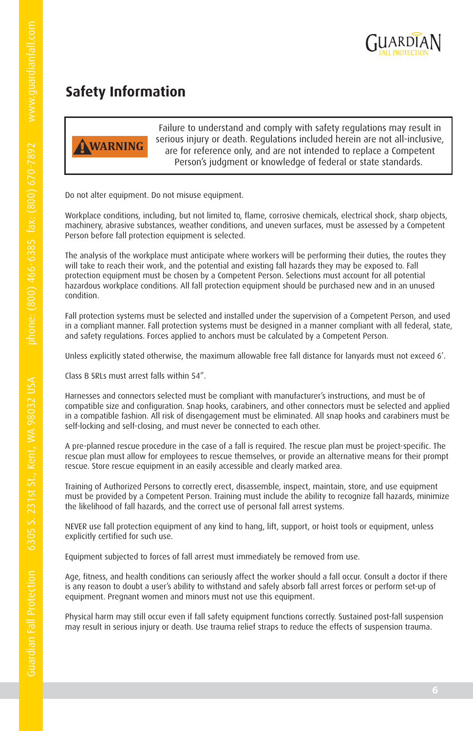

## **Safety Information**



Failure to understand and comply with safety regulations may result in serious injury or death. Regulations included herein are not all-inclusive, are for reference only, and are not intended to replace a Competent Person's judgment or knowledge of federal or state standards.

Do not alter equipment. Do not misuse equipment.

Workplace conditions, including, but not limited to, flame, corrosive chemicals, electrical shock, sharp objects, machinery, abrasive substances, weather conditions, and uneven surfaces, must be assessed by a Competent Person before fall protection equipment is selected.

The analysis of the workplace must anticipate where workers will be performing their duties, the routes they will take to reach their work, and the potential and existing fall hazards they may be exposed to. Fall protection equipment must be chosen by a Competent Person. Selections must account for all potential hazardous workplace conditions. All fall protection equipment should be purchased new and in an unused condition.

Fall protection systems must be selected and installed under the supervision of a Competent Person, and used in a compliant manner. Fall protection systems must be designed in a manner compliant with all federal, state, and safety regulations. Forces applied to anchors must be calculated by a Competent Person.

Unless explicitly stated otherwise, the maximum allowable free fall distance for lanyards must not exceed 6'.

Class B SRLs must arrest falls within 54".

Harnesses and connectors selected must be compliant with manufacturer's instructions, and must be of compatible size and configuration. Snap hooks, carabiners, and other connectors must be selected and applied in a compatible fashion. All risk of disengagement must be eliminated. All snap hooks and carabiners must be self-locking and self-closing, and must never be connected to each other.

A pre-planned rescue procedure in the case of a fall is required. The rescue plan must be project-specific. The rescue plan must allow for employees to rescue themselves, or provide an alternative means for their prompt rescue. Store rescue equipment in an easily accessible and clearly marked area.

Training of Authorized Persons to correctly erect, disassemble, inspect, maintain, store, and use equipment must be provided by a Competent Person. Training must include the ability to recognize fall hazards, minimize the likelihood of fall hazards, and the correct use of personal fall arrest systems.

NEVER use fall protection equipment of any kind to hang, lift, support, or hoist tools or equipment, unless explicitly certified for such use.

Equipment subjected to forces of fall arrest must immediately be removed from use.

Age, fitness, and health conditions can seriously affect the worker should a fall occur. Consult a doctor if there is any reason to doubt a user's ability to withstand and safely absorb fall arrest forces or perform set-up of equipment. Pregnant women and minors must not use this equipment.

Physical harm may still occur even if fall safety equipment functions correctly. Sustained post-fall suspension may result in serious injury or death. Use trauma relief straps to reduce the effects of suspension trauma.